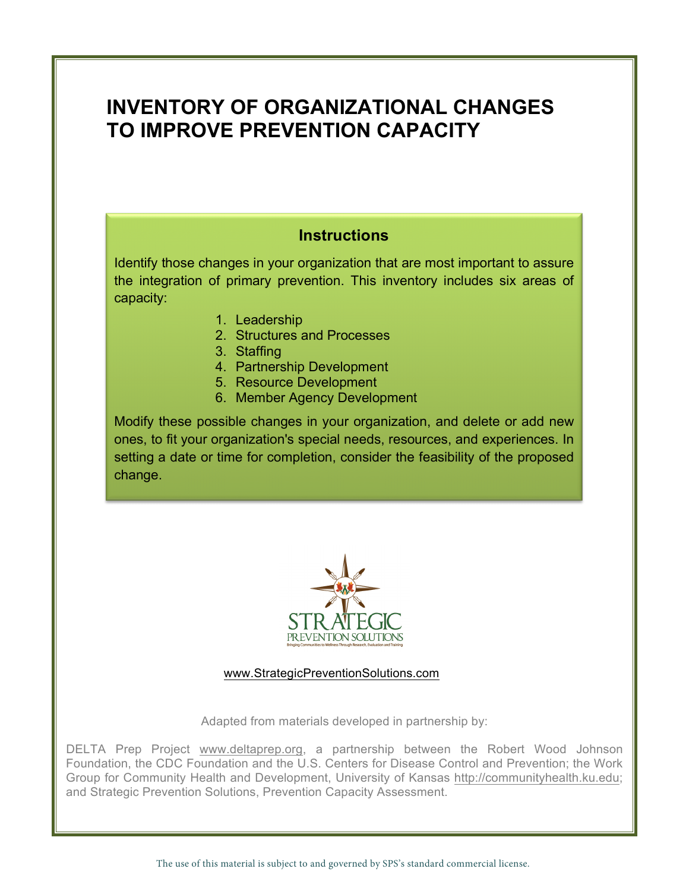# **INVENTORY OF ORGANIZATIONAL CHANGES TO IMPROVE PREVENTION CAPACITY**

# **Instructions**

Identify those changes in your organization that are most important to assure the integration of primary prevention. This inventory includes six areas of capacity:

- 1. Leadership
- 2. Structures and Processes
- 3. Staffing
- 4. Partnership Development
- 5. Resource Development
- 6. Member Agency Development

Modify these possible changes in your organization, and delete or add new ones, to fit your organization's special needs, resources, and experiences. In setting a date or time for completion, consider the feasibility of the proposed change.



www.StrategicPreventionSolutions.com

Adapted from materials developed in partnership by:

DELTA Prep Project www.deltaprep.org, a partnership between the Robert Wood Johnson Foundation, the CDC Foundation and the U.S. Centers for Disease Control and Prevention; the Work Group for Community Health and Development, University of Kansas http://communityhealth.ku.edu; and Strategic Prevention Solutions, Prevention Capacity Assessment.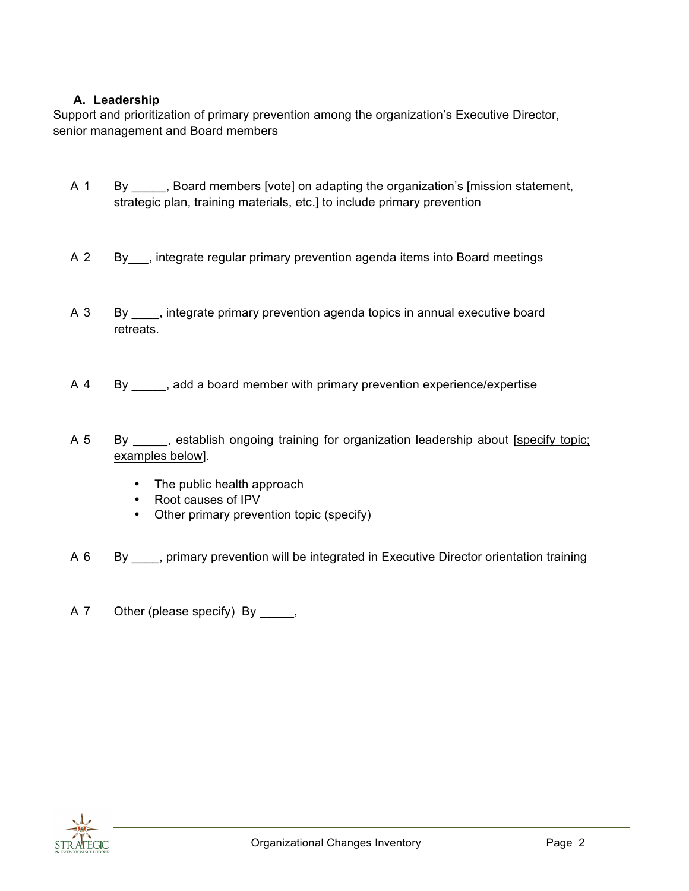## **A. Leadership**

Support and prioritization of primary prevention among the organization's Executive Director, senior management and Board members

- A 1 By \_\_\_\_\_, Board members [vote] on adapting the organization's [mission statement, strategic plan, training materials, etc.] to include primary prevention
- A 2 By , integrate regular primary prevention agenda items into Board meetings
- A 3 By \_\_\_\_, integrate primary prevention agenda topics in annual executive board retreats.
- A 4 By \_\_\_\_\_, add a board member with primary prevention experience/expertise
- A 5 By \_\_\_\_, establish ongoing training for organization leadership about [specify topic; examples below].
	- The public health approach
	- Root causes of IPV
	- Other primary prevention topic (specify)
- A 6 By \_\_\_\_, primary prevention will be integrated in Executive Director orientation training
- A 7 Other (please specify) By \_\_\_\_\_,

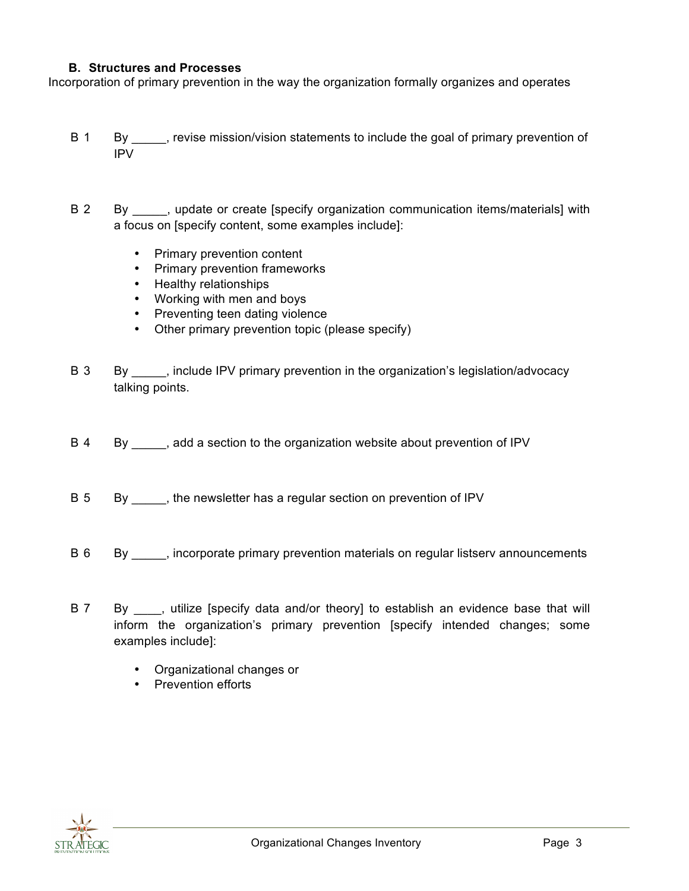#### **B. Structures and Processes**

Incorporation of primary prevention in the way the organization formally organizes and operates

- B 1 By \_\_\_\_\_, revise mission/vision statements to include the goal of primary prevention of IPV
- B 2 By \_\_\_\_\_, update or create [specify organization communication items/materials] with a focus on [specify content, some examples include]:
	- Primary prevention content
	- Primary prevention frameworks
	- Healthy relationships
	- Working with men and boys
	- Preventing teen dating violence
	- Other primary prevention topic (please specify)
- B 3 By \_\_\_\_\_, include IPV primary prevention in the organization's legislation/advocacy talking points.
- B 4 By \_\_\_\_\_, add a section to the organization website about prevention of IPV
- B 5 By \_\_\_\_\_, the newsletter has a regular section on prevention of IPV
- B 6 By \_\_\_\_, incorporate primary prevention materials on regular listserv announcements
- B 7 By \_\_\_, utilize [specify data and/or theory] to establish an evidence base that will inform the organization's primary prevention [specify intended changes; some examples include]:
	- Organizational changes or
	- Prevention efforts

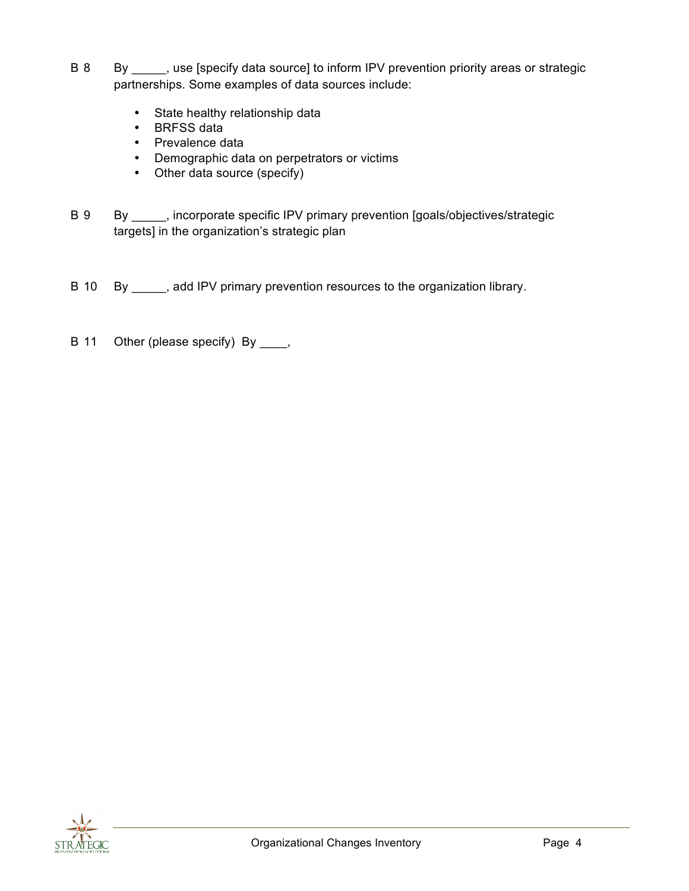- B 8 By \_\_\_\_\_, use [specify data source] to inform IPV prevention priority areas or strategic partnerships. Some examples of data sources include:
	- State healthy relationship data
	- BRFSS data
	- Prevalence data
	- Demographic data on perpetrators or victims
	- Other data source (specify)
- B 9 By \_\_\_\_, incorporate specific IPV primary prevention [goals/objectives/strategic targets] in the organization's strategic plan
- B 10 By \_\_\_\_, add IPV primary prevention resources to the organization library.
- B 11 Other (please specify) By \_\_\_\_,

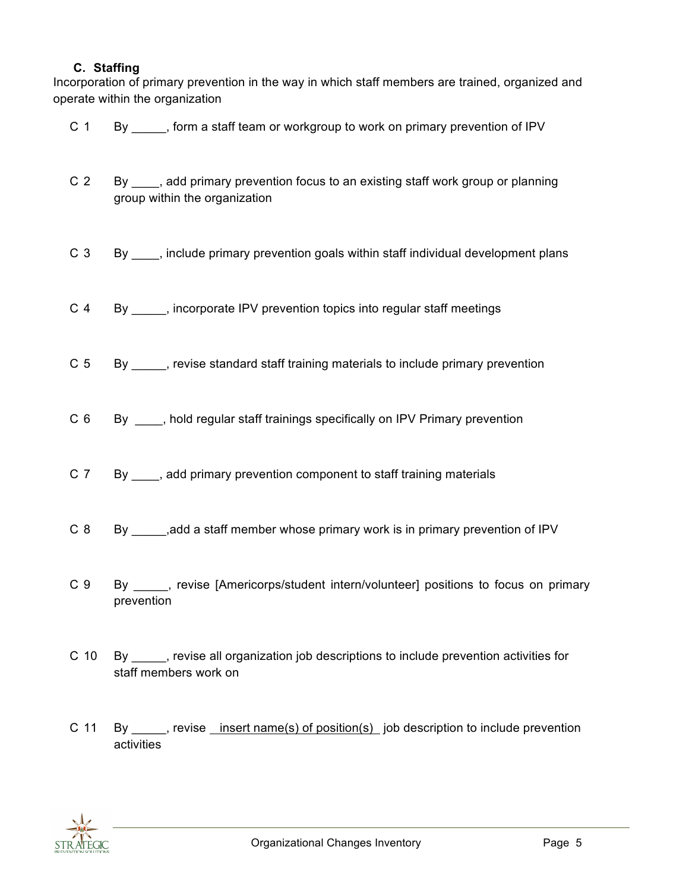### **C. Staffing**

Incorporation of primary prevention in the way in which staff members are trained, organized and operate within the organization

- C 1 By \_\_\_\_\_, form a staff team or workgroup to work on primary prevention of IPV C 2 By \_\_\_\_, add primary prevention focus to an existing staff work group or planning group within the organization C 3 By \_\_\_\_, include primary prevention goals within staff individual development plans C 4 By \_\_\_\_\_, incorporate IPV prevention topics into regular staff meetings C 5 By \_\_\_\_\_, revise standard staff training materials to include primary prevention C 6 By Rold regular staff trainings specifically on IPV Primary prevention
	- C 7 By \_\_\_\_, add primary prevention component to staff training materials
	- C 8 By \_\_\_\_\_,add a staff member whose primary work is in primary prevention of IPV
	- C 9 By \_\_\_\_\_, revise [Americorps/student intern/volunteer] positions to focus on primary prevention
	- C 10 By \_\_\_\_\_, revise all organization job descriptions to include prevention activities for staff members work on
	- C 11 By \_\_\_\_\_, revise insert name(s) of position(s) job description to include prevention activities

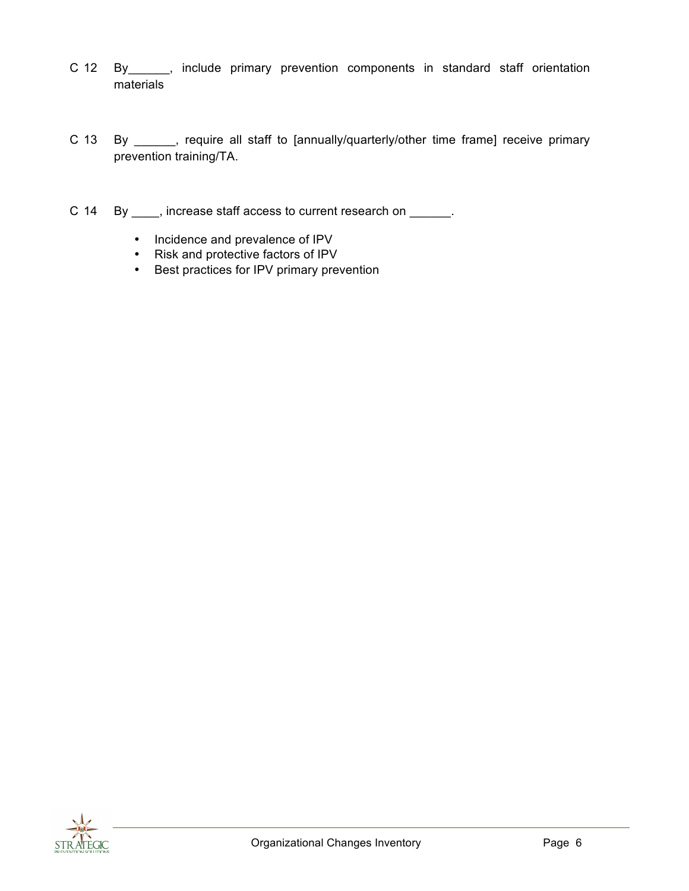- C 12 By\_\_\_\_\_\_, include primary prevention components in standard staff orientation materials
- C 13 By \_\_\_\_\_\_, require all staff to [annually/quarterly/other time frame] receive primary prevention training/TA.
- C 14 By \_\_\_\_, increase staff access to current research on \_\_\_\_\_\_.
	- Incidence and prevalence of IPV
	- Risk and protective factors of IPV
	- Best practices for IPV primary prevention

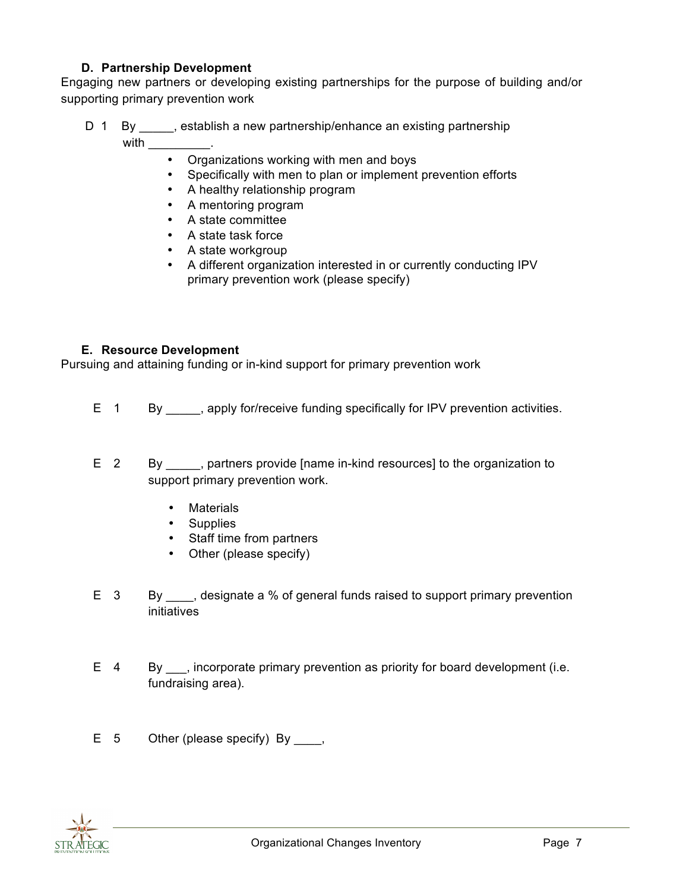# **D. Partnership Development**

Engaging new partners or developing existing partnerships for the purpose of building and/or supporting primary prevention work

- D 1 By \_\_\_\_\_, establish a new partnership/enhance an existing partnership with  $\_\_$ 
	- Organizations working with men and boys
	- Specifically with men to plan or implement prevention efforts
	- A healthy relationship program
	- A mentoring program
	- A state committee
	- A state task force
	- A state workgroup
	- A different organization interested in or currently conducting IPV primary prevention work (please specify)

#### **E. Resource Development**

Pursuing and attaining funding or in-kind support for primary prevention work

- E 1 By \_\_\_\_\_, apply for/receive funding specifically for IPV prevention activities.
- E 2 By \_\_\_\_\_, partners provide [name in-kind resources] to the organization to support primary prevention work.
	- Materials
	- Supplies
	- Staff time from partners
	- Other (please specify)
- E 3 By designate a % of general funds raised to support primary prevention initiatives
- E 4 By \_\_\_, incorporate primary prevention as priority for board development (i.e. fundraising area).
- $E = 5$  Other (please specify) By  $\qquad$ ,